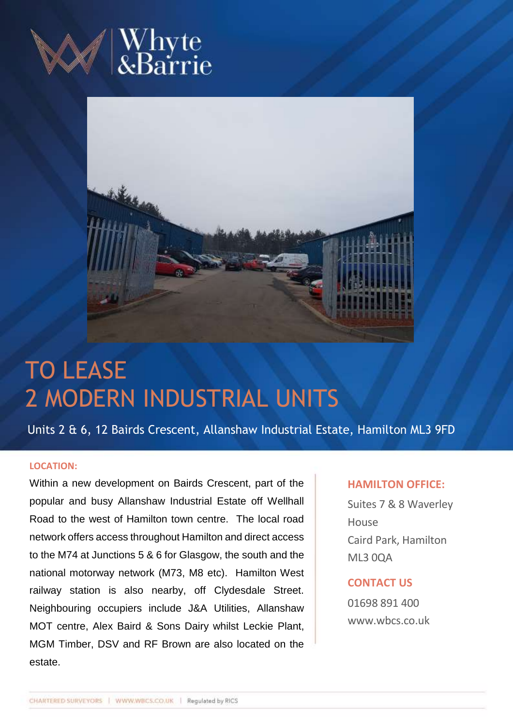



# TO LEASE 2 MODERN INDUSTRIAL UNITS

Units 2 & 6, 12 Bairds Crescent, Allanshaw Industrial Estate, Hamilton ML3 9FD

### **LOCATION:**

Within a new development on Bairds Crescent, part of the popular and busy Allanshaw Industrial Estate off Wellhall Road to the west of Hamilton town centre. The local road network offers access throughout Hamilton and direct access to the M74 at Junctions 5 & 6 for Glasgow, the south and the national motorway network (M73, M8 etc). Hamilton West railway station is also nearby, off Clydesdale Street. Neighbouring occupiers include J&A Utilities, Allanshaw MOT centre, Alex Baird & Sons Dairy whilst Leckie Plant, MGM Timber, DSV and RF Brown are also located on the estate.

## **HAMILTON OFFICE:**

Suites 7 & 8 Waverley House Caird Park, Hamilton ML3 0QA

# **CONTACT US**

01698 891 400 www.wbcs.co.uk